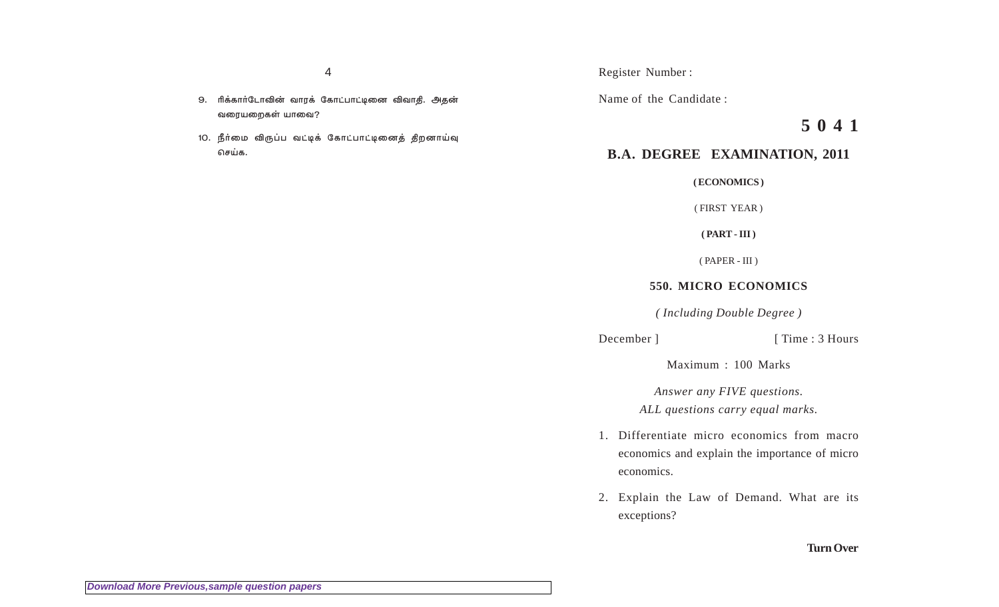- 9. ரிக்கார்டோவின் வாரக் கோட்பாட்டினை விவாதி. அதன் வரையறைகள் யாவை?
- 10. நீர்மை விருப்ப வட்டிக் கோட்பாட்டினைத் திறனாய்வு செய்க.

Register Number :

Name of the Candidate :

**5 0 4 1**

## **B.A. DEGREE EXAMINATION, 2011**

**( ECONOMICS )**

( FIRST YEAR )

**( PART - III )**

( PAPER - III )

## **550. MICRO ECONOMICS**

*( Including Double Degree )*

December ] [ Time : 3 Hours

Maximum : 100 Marks

*Answer any FIVE questions. ALL questions carry equal marks.*

- 1. Differentiate micro economics from macro economics and explain the importance of micro economics.
- 2. Explain the Law of Demand. What are its exceptions?

## **Turn Over**